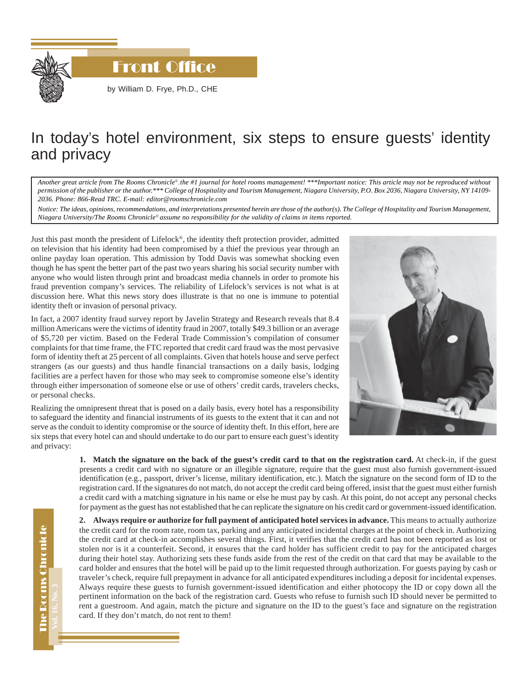

**Front Office** 

by William D. Frye, Ph.D., CHE

## In today's hotel environment, six steps to ensure guests' identity and privacy

*Another great article from The Rooms Chronicle*®*, the #1 journal for hotel rooms management! \*\*\*Important notice: This article may not be reproduced without permission of the publisher or the author.\*\*\* College of Hospitality and Tourism Management, Niagara University, P.O. Box 2036, Niagara University, NY 14109- 2036. Phone: 866-Read TRC. E-mail: editor@roomschronicle.com*

*Notice: The ideas, opinions, recommendations, and interpretations presented herein are those of the author(s). The College of Hospitality and Tourism Management, Niagara University/The Rooms Chronicle*® *assume no responsibility for the validity of claims in items reported.*

Just this past month the president of Lifelock®, the identity theft protection provider, admitted on television that his identity had been compromised by a thief the previous year through an online payday loan operation. This admission by Todd Davis was somewhat shocking even though he has spent the better part of the past two years sharing his social security number with anyone who would listen through print and broadcast media channels in order to promote his fraud prevention company's services. The reliability of Lifelock's services is not what is at discussion here. What this news story does illustrate is that no one is immune to potential identity theft or invasion of personal privacy.

In fact, a 2007 identity fraud survey report by Javelin Strategy and Research reveals that 8.4 million Americans were the victims of identity fraud in 2007, totally \$49.3 billion or an average of \$5,720 per victim. Based on the Federal Trade Commission's compilation of consumer complaints for that time frame, the FTC reported that credit card fraud was the most pervasive form of identity theft at 25 percent of all complaints. Given that hotels house and serve perfect strangers (as our guests) and thus handle financial transactions on a daily basis, lodging facilities are a perfect haven for those who may seek to compromise someone else's identity through either impersonation of someone else or use of others' credit cards, travelers checks, or personal checks.

Realizing the omnipresent threat that is posed on a daily basis, every hotel has a responsibility to safeguard the identity and financial instruments of its guests to the extent that it can and not serve as the conduit to identity compromise or the source of identity theft. In this effort, here are six steps that every hotel can and should undertake to do our part to ensure each guest's identity and privacy:



**1. Match the signature on the back of the guest's credit card to that on the registration card.** At check-in, if the guest presents a credit card with no signature or an illegible signature, require that the guest must also furnish government-issued identification (e.g., passport, driver's license, military identification, etc.). Match the signature on the second form of ID to the registration card. If the signatures do not match, do not accept the credit card being offered, insist that the guest must either furnish a credit card with a matching signature in his name or else he must pay by cash. At this point, do not accept any personal checks for payment as the guest has not established that he can replicate the signature on his credit card or government-issued identification.

**2. Always require or authorize for full payment of anticipated hotel services in advance.** This means to actually authorize the credit card for the room rate, room tax, parking and any anticipated incidental charges at the point of check in. Authorizing the credit card at check-in accomplishes several things. First, it verifies that the credit card has not been reported as lost or stolen nor is it a counterfeit. Second, it ensures that the card holder has sufficient credit to pay for the anticipated charges during their hotel stay. Authorizing sets these funds aside from the rest of the credit on that card that may be available to the card holder and ensures that the hotel will be paid up to the limit requested through authorization. For guests paying by cash or traveler's check, require full prepayment in advance for all anticipated expenditures including a deposit for incidental expenses. Always require these guests to furnish government-issued identification and either photocopy the ID or copy down all the pertinent information on the back of the registration card. Guests who refuse to furnish such ID should never be permitted to rent a guestroom. And again, match the picture and signature on the ID to the guest's face and signature on the registration card. If they don't match, do not rent to them!